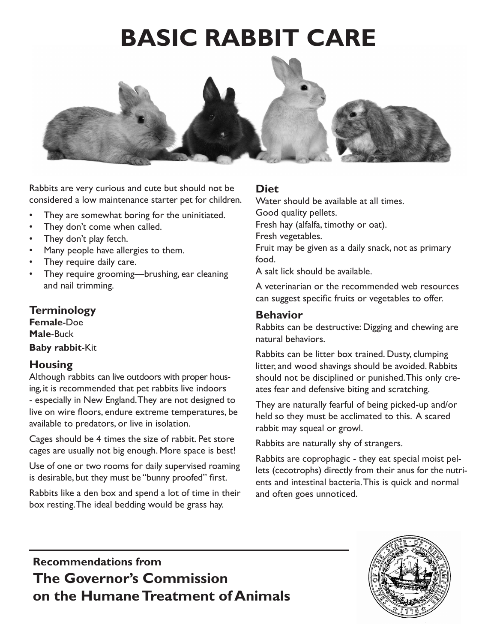# **BASIC RABBIT CARE**



Rabbits are very curious and cute but should not be considered a low maintenance starter pet for children.

- They are somewhat boring for the uninitiated.
- They don't come when called.
- They don't play fetch.
- Many people have allergies to them.
- They require daily care.
- They require grooming—brushing, ear cleaning and nail trimming.

### **Terminology**

**Female**-Doe **Male**-Buck **Baby rabbit**-Kit

### **Housing**

Although rabbits can live outdoors with proper housing, it is recommended that pet rabbits live indoors - especially in New England. They are not designed to live on wire floors, endure extreme temperatures, be available to predators, or live in isolation.

Cages should be 4 times the size of rabbit. Pet store cages are usually not big enough. More space is best!

Use of one or two rooms for daily supervised roaming is desirable, but they must be "bunny proofed" first.

Rabbits like a den box and spend a lot of time in their box resting.The ideal bedding would be grass hay.

### **Diet**

Water should be available at all times.

Good quality pellets.

Fresh hay (alfalfa, timothy or oat).

Fresh vegetables.

Fruit may be given as a daily snack, not as primary food.

A salt lick should be available.

A veterinarian or the recommended web resources can suggest specific fruits or vegetables to offer.

#### **Behavior**

Rabbits can be destructive: Digging and chewing are natural behaviors.

Rabbits can be litter box trained. Dusty, clumping litter, and wood shavings should be avoided. Rabbits should not be disciplined or punished. This only creates fear and defensive biting and scratching.

They are naturally fearful of being picked-up and/or held so they must be acclimated to this. A scared rabbit may squeal or growl.

Rabbits are naturally shy of strangers.

Rabbits are coprophagic - they eat special moist pellets (cecotrophs) directly from their anus for the nutrients and intestinal bacteria. This is quick and normal and often goes unnoticed.

**Recommendations from The Governor's Commission on the Humane Treatment of Animals**